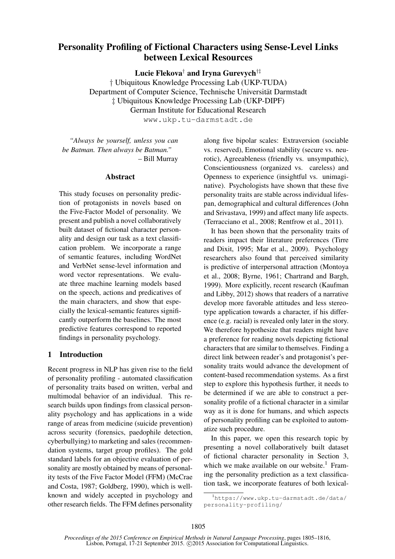# Personality Profiling of Fictional Characters using Sense-Level Links between Lexical Resources

Lucie Flekova† and Iryna Gurevych†‡

† Ubiquitous Knowledge Processing Lab (UKP-TUDA) Department of Computer Science, Technische Universität Darmstadt ‡ Ubiquitous Knowledge Processing Lab (UKP-DIPF) German Institute for Educational Research

www.ukp.tu-darmstadt.de

*"Always be yourself, unless you can be Batman. Then always be Batman."* – Bill Murray

#### Abstract

This study focuses on personality prediction of protagonists in novels based on the Five-Factor Model of personality. We present and publish a novel collaboratively built dataset of fictional character personality and design our task as a text classification problem. We incorporate a range of semantic features, including WordNet and VerbNet sense-level information and word vector representations. We evaluate three machine learning models based on the speech, actions and predicatives of the main characters, and show that especially the lexical-semantic features significantly outperform the baselines. The most predictive features correspond to reported findings in personality psychology.

## 1 Introduction

Recent progress in NLP has given rise to the field of personality profiling - automated classification of personality traits based on written, verbal and multimodal behavior of an individual. This research builds upon findings from classical personality psychology and has applications in a wide range of areas from medicine (suicide prevention) across security (forensics, paedophile detection, cyberbullying) to marketing and sales (recommendation systems, target group profiles). The gold standard labels for an objective evaluation of personality are mostly obtained by means of personality tests of the Five Factor Model (FFM) (McCrae and Costa, 1987; Goldberg, 1990), which is wellknown and widely accepted in psychology and other research fields. The FFM defines personality along five bipolar scales: Extraversion (sociable vs. reserved), Emotional stability (secure vs. neurotic), Agreeableness (friendly vs. unsympathic), Conscientiousness (organized vs. careless) and Openness to experience (insightful vs. unimaginative). Psychologists have shown that these five personality traits are stable across individual lifespan, demographical and cultural differences (John and Srivastava, 1999) and affect many life aspects. (Terracciano et al., 2008; Rentfrow et al., 2011).

It has been shown that the personality traits of readers impact their literature preferences (Tirre and Dixit, 1995; Mar et al., 2009). Psychology researchers also found that perceived similarity is predictive of interpersonal attraction (Montoya et al., 2008; Byrne, 1961; Chartrand and Bargh, 1999). More explicitly, recent research (Kaufman and Libby, 2012) shows that readers of a narrative develop more favorable attitudes and less stereotype application towards a character, if his difference (e.g. racial) is revealed only later in the story. We therefore hypothesize that readers might have a preference for reading novels depicting fictional characters that are similar to themselves. Finding a direct link between reader's and protagonist's personality traits would advance the development of content-based recommendation systems. As a first step to explore this hypothesis further, it needs to be determined if we are able to construct a personality profile of a fictional character in a similar way as it is done for humans, and which aspects of personality profiling can be exploited to automatize such procedure.

In this paper, we open this research topic by presenting a novel collaboratively built dataset of fictional character personality in Section 3, which we make available on our website.<sup>1</sup> Framing the personality prediction as a text classification task, we incorporate features of both lexical-

<sup>1</sup>https://www.ukp.tu-darmstadt.de/data/ personality-profiling/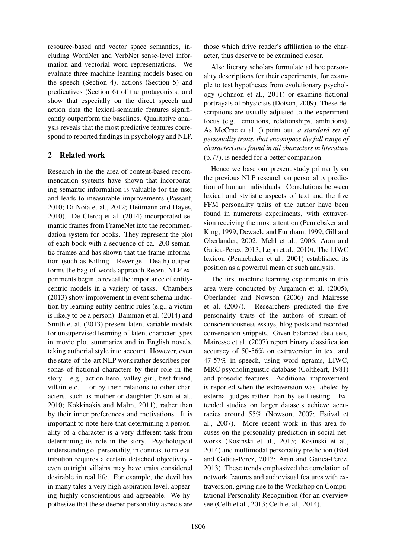resource-based and vector space semantics, including WordNet and VerbNet sense-level information and vectorial word representations. We evaluate three machine learning models based on the speech (Section 4), actions (Section 5) and predicatives (Section 6) of the protagonists, and show that especially on the direct speech and action data the lexical-semantic features significantly outperform the baselines. Qualitative analysis reveals that the most predictive features correspond to reported findings in psychology and NLP.

# 2 Related work

Research in the the area of content-based recommendation systems have shown that incorporating semantic information is valuable for the user and leads to measurable improvements (Passant, 2010; Di Noia et al., 2012; Heitmann and Hayes, 2010). De Clercq et al. (2014) incorporated semantic frames from FrameNet into the recommendation system for books. They represent the plot of each book with a sequence of ca. 200 semantic frames and has shown that the frame information (such as Killing - Revenge - Death) outperforms the bag-of-words approach.Recent NLP experiments begin to reveal the importance of entitycentric models in a variety of tasks. Chambers (2013) show improvement in event schema induction by learning entity-centric rules (e.g., a victim is likely to be a person). Bamman et al. (2014) and Smith et al. (2013) present latent variable models for unsupervised learning of latent character types in movie plot summaries and in English novels, taking authorial style into account. However, even the state-of-the-art NLP work rather describes personas of fictional characters by their role in the story - e.g., action hero, valley girl, best friend, villain etc. - or by their relations to other characters, such as mother or daughter (Elson et al., 2010; Kokkinakis and Malm, 2011), rather than by their inner preferences and motivations. It is important to note here that determining a personality of a character is a very different task from determining its role in the story. Psychological understanding of personality, in contrast to role attribution requires a certain detached objectivity even outright villains may have traits considered desirable in real life. For example, the devil has in many tales a very high aspiration level, appearing highly conscientious and agreeable. We hypothesize that these deeper personality aspects are

those which drive reader's affiliation to the character, thus deserve to be examined closer.

Also literary scholars formulate ad hoc personality descriptions for their experiments, for example to test hypotheses from evolutionary psychology (Johnson et al., 2011) or examine fictional portrayals of physicists (Dotson, 2009). These descriptions are usually adjusted to the experiment focus (e.g. emotions, relationships, ambitions). As McCrae et al. () point out, *a standard set of personality traits, that encompass the full range of characteristics found in all characters in literature* (p.77), is needed for a better comparison.

Hence we base our present study primarily on the previous NLP research on personality prediction of human individuals. Correlations between lexical and stylistic aspects of text and the five FFM personality traits of the author have been found in numerous experiments, with extraversion receiving the most attention (Pennebaker and King, 1999; Dewaele and Furnham, 1999; Gill and Oberlander, 2002; Mehl et al., 2006; Aran and Gatica-Perez, 2013; Lepri et al., 2010). The LIWC lexicon (Pennebaker et al., 2001) established its position as a powerful mean of such analysis.

The first machine learning experiments in this area were conducted by Argamon et al. (2005), Oberlander and Nowson (2006) and Mairesse et al. (2007). Researchers predicted the five personality traits of the authors of stream-ofconscientiousness essays, blog posts and recorded conversation snippets. Given balanced data sets, Mairesse et al. (2007) report binary classification accuracy of 50-56% on extraversion in text and 47-57% in speech, using word ngrams, LIWC, MRC psycholinguistic database (Coltheart, 1981) and prosodic features. Additional improvement is reported when the extraversion was labeled by external judges rather than by self-testing. Extended studies on larger datasets achieve accuracies around 55% (Nowson, 2007; Estival et al., 2007). More recent work in this area focuses on the personality prediction in social networks (Kosinski et al., 2013; Kosinski et al., 2014) and multimodal personality prediction (Biel and Gatica-Perez, 2013; Aran and Gatica-Perez, 2013). These trends emphasized the correlation of network features and audiovisual features with extraversion, giving rise to the Workshop on Computational Personality Recognition (for an overview see (Celli et al., 2013; Celli et al., 2014).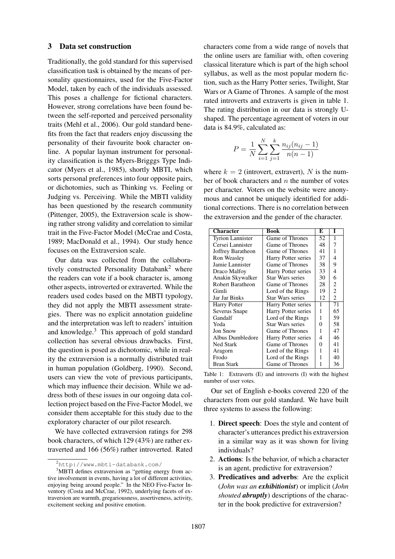#### 3 Data set construction

Traditionally, the gold standard for this supervised classification task is obtained by the means of personality questionnaires, used for the Five-Factor Model, taken by each of the individuals assessed. This poses a challenge for fictional characters. However, strong correlations have been found between the self-reported and perceived personality traits (Mehl et al., 2006). Our gold standard benefits from the fact that readers enjoy discussing the personality of their favourite book character online. A popular layman instrument for personality classification is the Myers-Brigggs Type Indicator (Myers et al., 1985), shortly MBTI, which sorts personal preferences into four opposite pairs, or dichotomies, such as Thinking vs. Feeling or Judging vs. Perceiving. While the MBTI validity has been questioned by the research community (Pittenger, 2005), the Extraversion scale is showing rather strong validity and correlation to similar trait in the Five-Factor Model (McCrae and Costa, 1989; MacDonald et al., 1994). Our study hence focuses on the Extraversion scale.

Our data was collected from the collaboratively constructed Personality Databank<sup>2</sup> where the readers can vote if a book character is, among other aspects, introverted or extraverted. While the readers used codes based on the MBTI typology, they did not apply the MBTI assessment strategies. There was no explicit annotation guideline and the interpretation was left to readers' intuition and knowledge.<sup>3</sup> This approach of gold standard collection has several obvious drawbacks. First, the question is posed as dichotomic, while in reality the extraversion is a normally distributed trait in human population (Goldberg, 1990). Second, users can view the vote of previous participants, which may influence their decision. While we address both of these issues in our ongoing data collection project based on the Five-Factor Model, we consider them acceptable for this study due to the exploratory character of our pilot research.

We have collected extraversion ratings for 298 book characters, of which 129 (43%) are rather extraverted and 166 (56%) rather introverted. Rated

characters come from a wide range of novels that the online users are familiar with, often covering classical literature which is part of the high school syllabus, as well as the most popular modern fiction, such as the Harry Potter series, Twilight, Star Wars or A Game of Thrones. A sample of the most rated introverts and extraverts is given in table 1. The rating distribution in our data is strongly Ushaped. The percentage agreement of voters in our data is 84.9%, calculated as:

$$
P = \frac{1}{N} \sum_{i=1}^{N} \sum_{j=1}^{k} \frac{n_{ij}(n_{ij} - 1)}{n(n-1)}
$$

where  $k = 2$  (introvert, extravert), N is the number of book characters and  $n$  the number of votes per character. Voters on the website were anonymous and cannot be uniquely identified for additional corrections. There is no correlation between the extraversion and the gender of the character.

| Character               | <b>Book</b>             | E  | I              |
|-------------------------|-------------------------|----|----------------|
| <b>Tyrion Lannister</b> | Game of Thrones         | 52 | 1              |
| Cersei Lannister        | Game of Thrones         | 48 | 7              |
| Joffrey Baratheon       | Game of Thrones         | 41 | 1              |
| Ron Weasley             | Harry Potter series     | 37 | 4              |
| Jamie Lannister         | Game of Thrones         | 38 | 9              |
| Draco Malfoy            | Harry Potter series     | 33 | 4              |
| Anakin Skywalker        | Star Wars series        | 30 | 6              |
| Robert Baratheon        | Game of Thrones         | 28 | 2              |
| Gimli                   | Lord of the Rings       | 19 | $\overline{c}$ |
| Jar Jar Binks           | <b>Star Wars series</b> | 12 | $\overline{c}$ |
| Harry Potter            | Harry Potter series     | 1  | 71             |
| Severus Snape           | Harry Potter series     | 1  | 65             |
| Gandalf                 | Lord of the Rings       | 1  | 59             |
| Yoda                    | <b>Star Wars series</b> | 0  | 58             |
| <b>Jon Snow</b>         | Game of Thrones         | 1  | 47             |
| Albus Dumbledore        | Harry Potter series     | 4  | 46             |
| <b>Ned Stark</b>        | Game of Thrones         | 0  | 41             |
| Aragorn                 | Lord of the Rings       | 1  | 41             |
| Frodo                   | Lord of the Rings       | 1  | 40             |
| <b>Bran Stark</b>       | Game of Thrones         | 1  | 36             |

Table 1: Extraverts (E) and introverts (I) with the highest number of user votes.

Our set of English e-books covered 220 of the characters from our gold standard. We have built three systems to assess the following:

- 1. Direct speech: Does the style and content of character's utterances predict his extraversion in a similar way as it was shown for living individuals?
- 2. Actions: Is the behavior, of which a character is an agent, predictive for extraversion?
- 3. Predicatives and adverbs: Are the explicit (*John was an exhibitionist*) or implicit (*John shouted abruptly*) descriptions of the character in the book predictive for extraversion?

 $^{2}$ http://www.mbti-databank.com/

<sup>&</sup>lt;sup>3</sup>MBTI defines extraversion as "getting energy from active involvement in events, having a lot of different activities, enjoying being around people." In the NEO Five-Factor Inventory (Costa and McCrae, 1992), underlying facets of extraversion are warmth, gregariousness, assertiveness, activity, excitement seeking and positive emotion.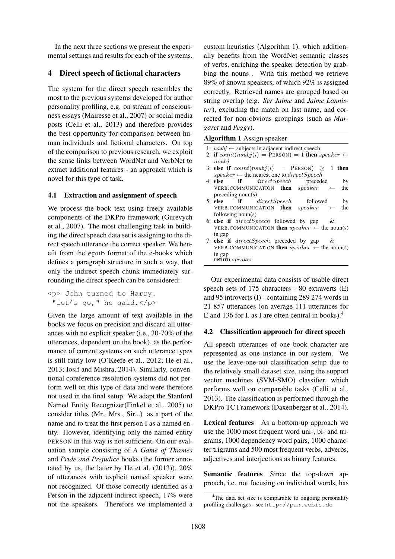In the next three sections we present the experimental settings and results for each of the systems.

# 4 Direct speech of fictional characters

The system for the direct speech resembles the most to the previous systems developed for author personality profiling, e.g. on stream of consciousness essays (Mairesse et al., 2007) or social media posts (Celli et al., 2013) and therefore provides the best opportunity for comparison between human individuals and fictional characters. On top of the comparison to previous research, we exploit the sense links between WordNet and VerbNet to extract additional features - an approach which is novel for this type of task.

### 4.1 Extraction and assignment of speech

We process the book text using freely available components of the DKPro framework (Gurevych et al., 2007). The most challenging task in building the direct speech data set is assigning to the direct speech utterance the correct speaker. We benefit from the epub format of the e-books which defines a paragraph structure in such a way, that only the indirect speech chunk immediately surrounding the direct speech can be considered:

```
<p> John turned to Harry.
"Let's go," he said.</p>
```
Given the large amount of text available in the books we focus on precision and discard all utterances with no explicit speaker (i.e., 30-70% of the utterances, dependent on the book), as the performance of current systems on such utterance types is still fairly low (O'Keefe et al., 2012; He et al., 2013; Iosif and Mishra, 2014). Similarly, conventional coreference resolution systems did not perform well on this type of data and were therefore not used in the final setup. We adapt the Stanford Named Entity Recognizer(Finkel et al., 2005) to consider titles (Mr., Mrs., Sir...) as a part of the name and to treat the first person I as a named entity. However, identifying only the named entity PERSON in this way is not sufficient. On our evaluation sample consisting of *A Game of Thrones* and *Pride and Prejudice* books (the former annotated by us, the latter by He et al. (2013)), 20% of utterances with explicit named speaker were not recognized. Of those correctly identified as a Person in the adjacent indirect speech, 17% were not the speakers. Therefore we implemented a

custom heuristics (Algorithm 1), which additionally benefits from the WordNet semantic classes of verbs, enriching the speaker detection by grabbing the nouns . With this method we retrieve 89% of known speakers, of which 92% is assigned correctly. Retrieved names are grouped based on string overlap (e.g. *Ser Jaime* and *Jaime Lannister*), excluding the match on last name, and corrected for non-obvious groupings (such as *Margaret* and *Peggy*).

| <b>Algorithm 1</b> Assign speaker                                       |
|-------------------------------------------------------------------------|
| 1: $nsubj \leftarrow$ subjects in adjacent indirect speech              |
| 2: if $count(nsubj(i) = PERSON) = 1$ then speaker $\leftarrow$<br>nsubi |
| 3: else if $count(nsubj(i) = PERSON) \ge 1$ then                        |
| speaker $\leftarrow$ the nearest one to directSpeech                    |
| 4: else if <i>directSpeech</i> preceded<br>by                           |
| VERB.COMMUNICATION <b>then</b> $speaker \leftarrow$<br>the              |
| preceding noun(s)                                                       |
| 5: else if <i>directSpeech</i> followed<br>by                           |
| VERB.COMMUNICATION <b>then</b> $speaker \leftarrow$<br>the              |
| following $noun(s)$                                                     |
| 6: else if <i>directSpeech</i> followed by gap<br>$\alpha$              |
| VERB.COMMUNICATION <b>then</b> $speaker \leftarrow$ the noun(s)         |
| in gap                                                                  |
| 7: else if $directSpeech$ preceded by gap &                             |
| VERB.COMMUNICATION then $speaker \leftarrow$ the noun(s)                |
| in gap                                                                  |
| <b>return</b> speaker                                                   |

Our experimental data consists of usable direct speech sets of 175 characters - 80 extraverts (E) and 95 introverts (I) - containing 289 274 words in 21 857 utterances (on average 111 utterances for E and 136 for I, as I are often central in books).<sup>4</sup>

# 4.2 Classification approach for direct speech

All speech utterances of one book character are represented as one instance in our system. We use the leave-one-out classification setup due to the relatively small dataset size, using the support vector machines (SVM-SMO) classifier, which performs well on comparable tasks (Celli et al., 2013). The classification is performed through the DKPro TC Framework (Daxenberger et al., 2014).

Lexical features As a bottom-up approach we use the 1000 most frequent word uni-, bi- and trigrams, 1000 dependency word pairs, 1000 character trigrams and 500 most frequent verbs, adverbs, adjectives and interjections as binary features.

Semantic features Since the top-down approach, i.e. not focusing on individual words, has

<sup>&</sup>lt;sup>4</sup>The data set size is comparable to ongoing personality profiling challenges - see http://pan.webis.de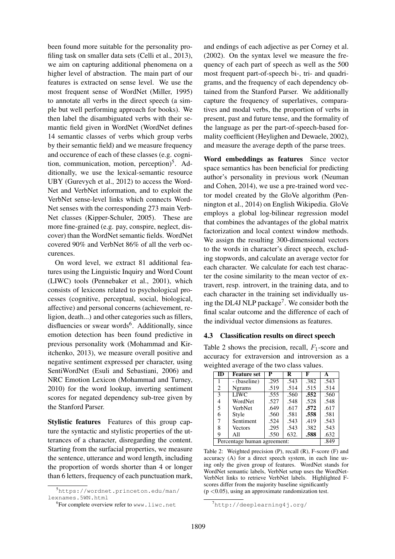been found more suitable for the personality profiling task on smaller data sets (Celli et al., 2013), we aim on capturing additional phenomena on a higher level of abstraction. The main part of our features is extracted on sense level. We use the most frequent sense of WordNet (Miller, 1995) to annotate all verbs in the direct speech (a simple but well performing approach for books). We then label the disambiguated verbs with their semantic field given in WordNet (WordNet defines 14 semantic classes of verbs which group verbs by their semantic field) and we measure frequency and occurence of each of these classes (e.g. cognition, communication, motion, perception)<sup>5</sup>. Additionally, we use the lexical-semantic resource UBY (Gurevych et al., 2012) to access the Word-Net and VerbNet information, and to exploit the VerbNet sense-level links which connects Word-Net senses with the corresponding 273 main Verb-Net classes (Kipper-Schuler, 2005). These are more fine-grained (e.g. pay, conspire, neglect, discover) than the WordNet semantic fields. WordNet covered 90% and VerbNet 86% of all the verb occurences.

On word level, we extract 81 additional features using the Linguistic Inquiry and Word Count (LIWC) tools (Pennebaker et al., 2001), which consists of lexicons related to psychological processes (cognitive, perceptual, social, biological, affective) and personal concerns (achievement, religion, death...) and other categories such as fillers, disfluencies or swear words<sup>6</sup>. Additionally, since emotion detection has been found predictive in previous personality work (Mohammad and Kiritchenko, 2013), we measure overall positive and negative sentiment expressed per character, using SentiWordNet (Esuli and Sebastiani, 2006) and NRC Emotion Lexicon (Mohammad and Turney, 2010) for the word lookup, inverting sentiment scores for negated dependency sub-tree given by the Stanford Parser.

Stylistic features Features of this group capture the syntactic and stylistic properties of the utterances of a character, disregarding the content. Starting from the surfacial properties, we measure the sentence, utterance and word length, including the proportion of words shorter than 4 or longer than 6 letters, frequency of each punctuation mark,

and endings of each adjective as per Corney et al. (2002). On the syntax level we measure the frequency of each part of speech as well as the 500 most frequent part-of-speech bi-, tri- and quadrigrams, and the frequency of each dependency obtained from the Stanford Parser. We additionally capture the frequency of superlatives, comparatives and modal verbs, the proportion of verbs in present, past and future tense, and the formality of the language as per the part-of-speech-based formality coefficient (Heylighen and Dewaele, 2002), and measure the average depth of the parse trees.

Word embeddings as features Since vector space semantics has been beneficial for predicting author's personality in previous work (Neuman and Cohen, 2014), we use a pre-trained word vector model created by the GloVe algorithm (Pennington et al., 2014) on English Wikipedia. GloVe employs a global log-bilinear regression model that combines the advantages of the global matrix factorization and local context window methods. We assign the resulting 300-dimensional vectors to the words in character's direct speech, excluding stopwords, and calculate an average vector for each character. We calculate for each test character the cosine similarity to the mean vector of extravert, resp. introvert, in the training data, and to each character in the training set individually using the DL4J NLP package<sup>7</sup>. We consider both the final scalar outcome and the difference of each of the individual vector dimensions as features.

#### 4.3 Classification results on direct speech

Table 2 shows the precision, recall,  $F_1$ -score and accuracy for extraversion and introversion as a weighted average of the two class values.

| ID                          | <b>Feature set</b> | P    | R    | F    | A    |
|-----------------------------|--------------------|------|------|------|------|
|                             | - (baseline)       | .295 | .543 | .382 | .543 |
| 2                           | <b>Ngrams</b>      | .519 | .514 | .515 | .514 |
| 3                           | LIWC               | .555 | .560 | .552 | .560 |
| 4                           | WordNet            | .527 | .548 | .528 | .548 |
| 5                           | VerbNet            | .649 | .617 | .572 | .617 |
| 6                           | Style              | .560 | .581 | .558 | .581 |
| 7                           | Sentiment          | .524 | .543 | .419 | .543 |
| 8                           | <b>Vectors</b>     | .295 | .543 | .382 | .543 |
| 9                           | All                | .550 | 632. | .588 | .632 |
| Percentage human agreement: |                    |      | .849 |      |      |

Table 2: Weighted precision (P), recall (R), F-score (F) and accuracy (A) for a direct speech system, in each line using only the given group of features. WordNet stands for WordNet semantic labels, VerbNet setup uses the WordNet-VerbNet links to retrieve VerbNet labels. Highlighted Fscores differ from the majority baseline significantly  $(p < 0.05)$ , using an approximate randomization test.

<sup>5</sup>https://wordnet.princeton.edu/man/ lexnames.5WN.html

<sup>6</sup> For complete overview refer to www.liwc.net

 $7$ http://deeplearning4j.org/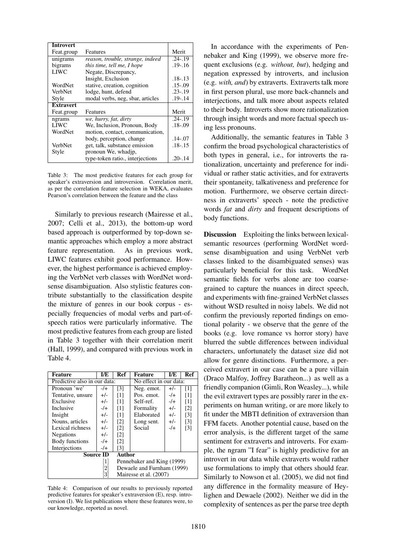| <b>Introvert</b> |                                  |             |
|------------------|----------------------------------|-------------|
| Feat.group       | Features                         | Merit       |
| unigrams         | reason, trouble, strange, indeed | $.24 - .19$ |
| bigrams          | this time, tell me, I hope       | $.19 - .16$ |
| <b>LIWC</b>      | Negate, Discrepancy,             |             |
|                  | Insight, Exclusion               | $.18 - .13$ |
| WordNet          | stative, creation, cognition     | $.15 - .09$ |
| <b>VerbNet</b>   | lodge, hunt, defend              | $.23 - .19$ |
| Style            | modal verbs, neg, sbar, articles | $.19 - .14$ |
| <b>Extravert</b> |                                  |             |
| Feat.group       | Features                         | Merit       |
| ngrams           | we, hurry, fat, dirty            | $.24 - .19$ |
| <b>LIWC</b>      | We, Inclusion, Pronoun, Body     | $.18 - .09$ |
| WordNet          | motion, contact, communication,  |             |
|                  | body, perception, change         | $.14 - .07$ |
| VerbNet          | get, talk, substance emission    | $.18 - .15$ |
| Style            | pronoun We, whadjp,              |             |
|                  | type-token ratio., interjections | .20-.14     |

Table 3: The most predictive features for each group for speaker's extraversion and introversion. Correlation merit, as per the correlation feature selection in WEKA, evaluates Pearson's correlation between the feature and the class

Similarly to previous research (Mairesse et al., 2007; Celli et al., 2013), the bottom-up word based approach is outperformed by top-down semantic approaches which employ a more abstract feature representation. As in previous work, LIWC features exhibit good performance. However, the highest performance is achieved employing the VerbNet verb classes with WordNet wordsense disambiguation. Also stylistic features contribute substantially to the classification despite the mixture of genres in our book corpus - especially frequencies of modal verbs and part-ofspeech ratios were particularly informative. The most predictive features from each group are listed in Table 3 together with their correlation merit (Hall, 1999), and compared with previous work in Table 4.

| Feature                      | I/E              | Ref<br><b>Feature</b><br>I/E             |                        |        | <b>Ref</b>        |
|------------------------------|------------------|------------------------------------------|------------------------|--------|-------------------|
| Predictive also in our data: |                  |                                          | No effect in our data: |        |                   |
| Pronoun 'we'                 | $-1$             | $\lceil 3 \rceil$<br>Neg. emot.<br>$+/-$ |                        |        | $\lceil 1 \rceil$ |
| Tentative, unsure            | $+/-$            | $\lceil 1 \rceil$                        | Pos. emot.             | $-$ /+ | $\lceil 1 \rceil$ |
| Exclusive                    | $+/-$            | $\lceil 1 \rceil$                        | Self-ref.              | $-1$   | $\lceil 1 \rceil$ |
| Inclusive                    | $-$ /+           | $\lceil 1 \rceil$                        | Formality              | $+/-$  | $\lceil 2 \rceil$ |
| Insight                      | $+/-$            | $\lceil 1 \rceil$                        | Elaborated             | $+/-$  | $\lceil 3 \rceil$ |
| Nouns, articles              | $+/-$            | $\lceil 2 \rceil$                        | Long sent.             | $+/-$  | $\lceil 3 \rceil$ |
| Lexical richness             | $+/-$            | $\lceil 2 \rceil$                        | Social                 | $-1$   | $\lceil 3 \rceil$ |
| <b>Negations</b>             | $+/-$            | $\lceil 2 \rceil$                        |                        |        |                   |
| Body functions               | $-/+$            | $\lceil 2 \rceil$                        |                        |        |                   |
| Interjections                | $-$ /+           | $\lceil 3 \rceil$                        |                        |        |                   |
| Source ID                    |                  | Author                                   |                        |        |                   |
|                              | 1                | Pennebaker and King (1999)               |                        |        |                   |
|                              | $\left 2\right $ | Dewaele and Furnham (1999)               |                        |        |                   |
|                              | 31               | Mairesse et al. (2007)                   |                        |        |                   |

Table 4: Comparison of our results to previously reported predictive features for speaker's extraversion (E), resp. introversion (I). We list publications where these features were, to our knowledge, reported as novel.

In accordance with the experiments of Pennebaker and King (1999), we observe more frequent exclusions (e.g. *without, but*), hedging and negation expressed by introverts, and inclusion (e.g. *with, and*) by extraverts. Extraverts talk more in first person plural, use more back-channels and interjections, and talk more about aspects related to their body. Introverts show more rationalization through insight words and more factual speech using less pronouns.

Additionally, the semantic features in Table 3 confirm the broad psychological characteristics of both types in general, i.e., for introverts the rationalization, uncertainty and preference for individual or rather static activities, and for extraverts their spontaneity, talkativeness and preference for motion. Furthermore, we observe certain directness in extraverts' speech - note the predictive words *fat* and *dirty* and frequent descriptions of body functions.

Discussion Exploiting the links between lexicalsemantic resources (performing WordNet wordsense disambiguation and using VerbNet verb classes linked to the disambiguated senses) was particularly beneficial for this task. WordNet semantic fields for verbs alone are too coarsegrained to capture the nuances in direct speech, and experiments with fine-grained VerbNet classes without WSD resulted in noisy labels. We did not confirm the previously reported findings on emotional polarity - we observe that the genre of the books (e.g. love romance vs horror story) have blurred the subtle differences between individual characters, unfortunately the dataset size did not allow for genre distinctions. Furthermore, a perceived extravert in our case can be a pure villain (Draco Malfoy, Joffrey Baratheon...) as well as a friendly companion (Gimli, Ron Weasley...), while the evil extravert types are possibly rarer in the experiments on human writing, or are more likely to fit under the MBTI definition of extraversion than FFM facets. Another potential cause, based on the error analysis, is the different target of the same sentiment for extraverts and introverts. For example, the ngram "I fear" is highly predictive for an introvert in our data while extraverts would rather use formulations to imply that others should fear. Similarly to Nowson et al. (2005), we did not find any difference in the formality measure of Heylighen and Dewaele (2002). Neither we did in the complexity of sentences as per the parse tree depth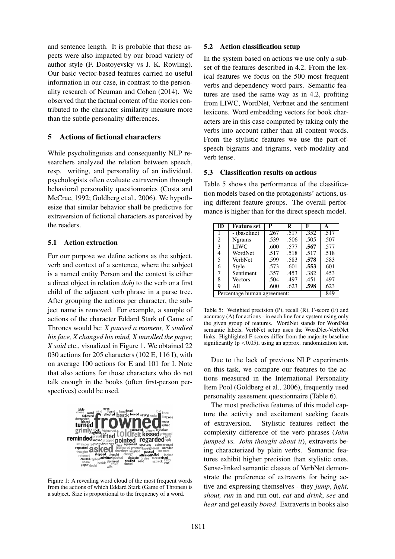and sentence length. It is probable that these aspects were also impacted by our broad variety of author style (F. Dostoyevsky vs J. K. Rowling). Our basic vector-based features carried no useful information in our case, in contrast to the personality research of Neuman and Cohen (2014). We observed that the factual content of the stories contributed to the character similarity measure more than the subtle personality differences.

### 5 Actions of fictional characters

While psycholinguists and consequenlty NLP researchers analyzed the relation between speech, resp. writing, and personality of an individual, psychologists often evaluate extraversion through behavioral personality questionnaries (Costa and McCrae, 1992; Goldberg et al., 2006). We hypothesize that similar behavior shall be predictive for extraversion of fictional characters as perceived by the readers.

### 5.1 Action extraction

For our purpose we define actions as the subject, verb and context of a sentence, where the subject is a named entity Person and the context is either a direct object in relation *dobj* to the verb or a first child of the adjacent verb phrase in a parse tree. After grouping the actions per character, the subject name is removed. For example, a sample of actions of the character Eddard Stark of Game of Thrones would be: *X paused a moment, X studied his face, X changed his mind, X unrolled the paper, X said* etc., visualized in Figure 1. We obtained 22 030 actions for 205 characters (102 E, 116 I), with on average 100 actions for E and 101 for I. Note that also actions for those characters who do not talk enough in the books (often first-person perspectives) could be used.



Figure 1: A revealing word cloud of the most frequent words from the actions of which Eddard Stark (Game of Thrones) is a subject. Size is proportional to the frequency of a word.

#### 5.2 Action classification setup

In the system based on actions we use only a subset of the features described in 4.2. From the lexical features we focus on the 500 most frequent verbs and dependency word pairs. Semantic features are used the same way as in 4.2, profiting from LIWC, WordNet, Verbnet and the sentiment lexicons. Word embedding vectors for book characters are in this case computed by taking only the verbs into account rather than all content words. From the stylistic features we use the part-ofspeech bigrams and trigrams, verb modality and verb tense.

### 5.3 Classification results on actions

Table 5 shows the performance of the classification models based on the protagonists' actions, using different feature groups. The overall performance is higher than for the direct speech model.

| <b>ID</b>                   | <b>Feature set</b> | P    | R    | F    | A    |
|-----------------------------|--------------------|------|------|------|------|
| 1                           | - (baseline)       | .267 | .517 | .352 | .517 |
| 2                           | <b>Ngrams</b>      | .539 | .506 | .505 | .507 |
| 3                           | <b>LIWC</b>        | .600 | .577 | .567 | .577 |
| 4                           | WordNet            | .517 | .518 | .517 | .518 |
| 5                           | VerbNet            | .599 | .583 | .578 | .583 |
| 6                           | Style              | .573 | .601 | .553 | .601 |
| 7                           | Sentiment          | .357 | .453 | .382 | .453 |
| 8                           | <b>Vectors</b>     | .504 | .497 | .451 | .497 |
| 9                           | All                | .600 | .623 | .598 | .623 |
| Percentage human agreement: |                    |      |      | .849 |      |

Table 5: Weighted precision (P), recall (R), F-score (F) and accuracy (A) for actions - in each line for a system using only the given group of features. WordNet stands for WordNet semantic labels, VerbNet setup uses the WordNet-VerbNet links. Highlighted F-scores differ from the majority baseline significantly ( $p < 0.05$ ), using an approx. randomization test.

Due to the lack of previous NLP experiments on this task, we compare our features to the actions measured in the International Personality Item Pool (Goldberg et al., 2006), frequently used personality assesment questionnaire (Table 6).

The most predictive features of this model capture the activity and excitement seeking facets of extraversion. Stylistic features reflect the complexity difference of the verb phrases (*John jumped vs. John thought about it*), extraverts being characterized by plain verbs. Semantic features exhibit higher precision than stylistic ones. Sense-linked semantic classes of VerbNet demonstrate the preference of extraverts for being active and expressing themselves - they *jump*, *fight, shout, run* in and run out, *eat* and *drink*, *see* and *hear* and get easily *bored*. Extraverts in books also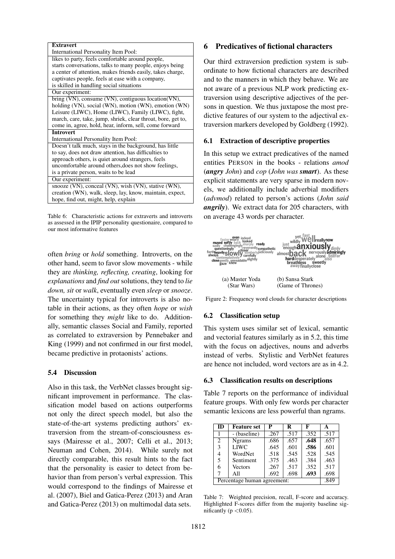| <b>Extravert</b>                                             |
|--------------------------------------------------------------|
|                                                              |
| International Personality Item Pool:                         |
| likes to party, feels comfortable around people,             |
| starts conversations, talks to many people, enjoys being     |
| a center of attention, makes friends easily, takes charge,   |
| captivates people, feels at ease with a company,             |
| is skilled in handling social situations                     |
| Our experiment:                                              |
| bring (VN), consume (VN), contiguous location (VN),          |
| holding (VN), social (WN), motion (WN), emotion (WN)         |
| Leisure (LIWC), Home (LIWC), Family (LIWC), fight,           |
| march, care, take, jump, shriek, clear throat, bore, get to, |
| come in, agree, hold, hear, inform, sell, come forward       |
| <b>Introvert</b>                                             |
| International Personality Item Pool:                         |
| Doesn't talk much, stays in the background, has little       |
| to say, does not draw attention, has difficulties to         |
| approach others, is quiet around strangers, feels            |
| uncomfortable around others, does not show feelings,         |
| is a private person, waits to be lead                        |
| Our experiment:                                              |
| snooze (VN), conceal (VN), wish (VN), stative (WN),          |
| creation (WN), walk, sleep, lay, know, maintain, expect,     |
| hope, find out, might, help, explain                         |

Table 6: Characteristic actions for extraverts and introverts as assessed in the IPIP personality questionaire, compared to our most informative features

often *bring* or *hold* something. Introverts, on the other hand, seem to favor slow movements - while they are *thinking, reflecting, creating*, looking for *explanations* and *find out* solutions, they tend to *lie down, sit* or *walk*, eventually even *sleep* or *snooze*. The uncertainty typical for introverts is also notable in their actions, as they often *hope* or *wish* for something they *might* like to do. Additionally, semantic classes Social and Family, reported as correlated to extraversion by Pennebaker and King (1999) and not confirmed in our first model, became predictive in protaonists' actions.

#### 5.4 Discussion

Also in this task, the VerbNet classes brought significant improvement in performance. The classification model based on actions outperforms not only the direct speech model, but also the state-of-the-art systems predicting authors' extraversion from the stream-of-consciousness essays (Mairesse et al., 2007; Celli et al., 2013; Neuman and Cohen, 2014). While surely not directly comparable, this result hints to the fact that the personality is easier to detect from behavior than from person's verbal expression. This would correspond to the findings of Mairesse et al. (2007), Biel and Gatica-Perez (2013) and Aran and Gatica-Perez (2013) on multimodal data sets.

### 6 Predicatives of fictional characters

Our third extraversion prediction system is subordinate to how fictional characters are described and to the manners in which they behave. We are not aware of a previous NLP work predicting extraversion using descriptive adjectives of the persons in question. We thus juxtapose the most predictive features of our system to the adjectival extraversion markers developed by Goldberg (1992).

#### 6.1 Extraction of descriptive properties

In this setup we extract predicatives of the named entities PERSON in the books - relations *amod* (*angry John*) and *cop* (*John was smart*). As these explicit statements are very sparse in modern novels, we additionally include adverbial modifiers (*advmod*) related to person's actions (*John said angrily*). We extract data for 205 characters, with on average 43 words per character.



Figure 2: Frequency word clouds for character descriptions

#### 6.2 Classification setup

This system uses similar set of lexical, semantic and vectorial features similarly as in 5.2, this time with the focus on adjectives, nouns and adverbs instead of verbs. Stylistic and VerbNet features are hence not included, word vectors are as in 4.2.

### 6.3 Classification results on descriptions

Table 7 reports on the performance of individual feature groups. With only few words per character semantic lexicons are less powerful than ngrams.

| ID                          | <b>Feature set</b> | P    | R    | F    | А    |
|-----------------------------|--------------------|------|------|------|------|
|                             | - (baseline)       | .267 | .517 | .352 | .517 |
| 2                           | <b>Ngrams</b>      | .686 | .657 | .648 | .657 |
| 3                           | <b>LIWC</b>        | .645 | .601 | .586 | .601 |
| 4                           | WordNet            | .518 | .545 | .528 | .545 |
| 5.                          | Sentiment          | .375 | .463 | .384 | .463 |
| 6                           | <b>Vectors</b>     | .267 | .517 | .352 | .517 |
|                             | All                | .692 | .698 | .693 | .698 |
| Percentage human agreement: |                    |      | .849 |      |      |

Table 7: Weighted precision, recall, F-score and accuracy. Highlighted F-scores differ from the majority baseline significantly ( $p < 0.05$ ).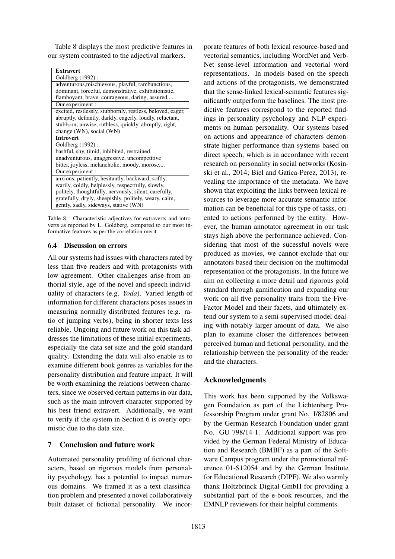Table 8 displays the most predictive features in our system contrasted to the adjectival markers.

| <b>Extravert</b>                                           |
|------------------------------------------------------------|
| Goldberg (1992):                                           |
| adventurous, mischievous, playful, rambunctious,           |
| dominant, forceful, demonstrative, exhibitionistic,        |
| flamboyant, brave, courageous, daring, assured,            |
| Our experiment :                                           |
| excited, restlessly, stubbornly, restless, beloved, eager, |
| abruptly, defiantly, darkly, eagerly, loudly, reluctant,   |
| stubborn, unwise, ruthless, quickly, abruptly, right,      |
| change (WN), social (WN)                                   |
| <b>Introvert</b>                                           |
| Goldberg (1992):                                           |
| bashful, shy, timid, inhibited, restrained                 |
| unadventurous, unaggressive, uncompetitive                 |
| bitter, joyless, melancholic, moody, morose,               |
| Our experiment :                                           |
| anxious, patiently, hesitantly, backward, softly,          |
| warily, coldly, helplessly, respectfully, slowly,          |
| politely, thoughtfully, nervously, silent, carefully,      |
| gratefully, dryly, sheepishly, politely, weary, calm,      |
| gently, sadly, sideways, stative (WN)                      |

Table 8: Characteristic adjectives for extraverts and introverts as reported by L. Goldberg, compared to our most informative features as per the correlation merit

### 6.4 Discussion on errors

All our systems had issues with characters rated by less than five readers and with protagonists with low agreement. Other challenges arise from authorial style, age of the novel and speech individuality of characters (e.g. *Yoda*). Varied length of information for different characters poses issues in measuring normally distributed features (e.g. ratio of jumping verbs), being in shorter texts less reliable. Ongoing and future work on this task addresses the limitations of these initial experiments, especially the data set size and the gold standard quality. Extending the data will also enable us to examine different book genres as variables for the personality distribution and feature impact. It will be worth examining the relations between characters, since we observed certain patterns in our data, such as the main introvert character supported by his best friend extravert. Additionally, we want to verify if the system in Section 6 is overly optimistic due to the data size.

### 7 Conclusion and future work

Automated personality profiling of fictional characters, based on rigorous models from personality psychology, has a potential to impact numerous domains. We framed it as a text classification problem and presented a novel collaboratively built dataset of fictional personality. We incor-

porate features of both lexical resource-based and vectorial semantics, including WordNet and Verb-Net sense-level information and vectorial word representations. In models based on the speech and actions of the protagonists, we demonstrated that the sense-linked lexical-semantic features significantly outperform the baselines. The most predictive features correspond to the reported findings in personality psychology and NLP experiments on human personality. Our systems based on actions and appearance of characters demonstrate higher performance than systems based on direct speech, which is in accordance with recent research on personality in social networks (Kosinski et al., 2014; Biel and Gatica-Perez, 2013), revealing the importance of the metadata. We have shown that exploiting the links between lexical resources to leverage more accurate semantic information can be beneficial for this type of tasks, oriented to actions performed by the entity. However, the human annotator agreement in our task stays high above the performance achieved. Considering that most of the sucessful novels were produced as movies, we cannot exclude that our annotators based their decision on the multimodal representation of the protagonists. In the future we aim on collecting a more detail and rigorous gold standard through gamification and expanding our work on all five personality traits from the Five-Factor Model and their facets, and ultimately extend our system to a semi-supervised model dealing with notably larger amount of data. We also plan to examine closer the differences between perceived human and fictional personality, and the relationship between the personality of the reader and the characters.

# Acknowledgments

This work has been supported by the Volkswagen Foundation as part of the Lichtenberg Professorship Program under grant No. I/82806 and by the German Research Foundation under grant No. GU 798/14-1. Additional support was provided by the German Federal Ministry of Education and Research (BMBF) as a part of the Software Campus program under the promotional reference 01-S12054 and by the German Institute for Educational Research (DIPF). We also warmly thank Holtzbrinck Digital GmbH for providing a substantial part of the e-book resources, and the EMNLP reviewers for their helpful comments.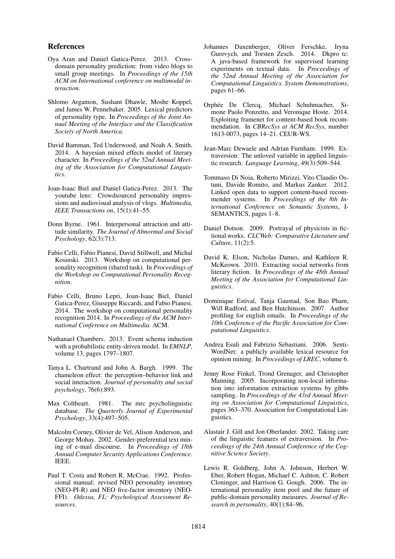#### References

- Oya Aran and Daniel Gatica-Perez. 2013. Crossdomain personality prediction: from video blogs to small group meetings. In *Proceedings of the 15th ACM on International conference on multimodal interaction*.
- Shlomo Argamon, Sushant Dhawle, Moshe Koppel, and James W. Pennebaker. 2005. Lexical predictors of personality type. In *Proceedings of the Joint Annual Meeting of the Interface and the Classification Society of North America*.
- David Bamman, Ted Underwood, and Noah A. Smith. 2014. A bayesian mixed effects model of literary character. In *Proceedings of the 52nd Annual Meeting of the Association for Computational Linguistics*.
- Joan-Isaac Biel and Daniel Gatica-Perez. 2013. The youtube lens: Crowdsourced personality impressions and audiovisual analysis of vlogs. *Multimedia, IEEE Transactions on*, 15(1):41–55.
- Donn Byrne. 1961. Interpersonal attraction and attitude similarity. *The Journal of Abnormal and Social Psychology*, 62(3):713.
- Fabio Celli, Fabio Pianesi, David Stillwell, and Michal Kosinski. 2013. Workshop on computational personality recognition (shared task). In *Proceedings of the Workshop on Computational Personality Recognition*.
- Fabio Celli, Bruno Lepri, Joan-Isaac Biel, Daniel Gatica-Perez, Giuseppe Riccardi, and Fabio Pianesi. 2014. The workshop on computational personality recognition 2014. In *Proceedings of the ACM International Conference on Multimedia*. ACM.
- Nathanael Chambers. 2013. Event schema induction with a probabilistic entity-driven model. In *EMNLP*, volume 13, pages 1797–1807.
- Tanya L. Chartrand and John A. Bargh. 1999. The chameleon effect: the perception–behavior link and social interaction. *Journal of personality and social psychology*, 76(6):893.
- Max Coltheart. 1981. The mrc psycholinguistic database. *The Quarterly Journal of Experimental Psychology*, 33(4):497–505.
- Malcolm Corney, Olivier de Vel, Alison Anderson, and George Mohay. 2002. Gender-preferential text mining of e-mail discourse. In *Proceedings of 18th Annual Computer Security Applications Conference*. IEEE.
- Paul T. Costa and Robert R. McCrae. 1992. Professional manual: revised NEO personality inventory (NEO-PI-R) and NEO five-factor inventory (NEO-FFI). *Odessa, FL: Psychological Assessment Resources*.
- Johannes Daxenberger, Oliver Ferschke, Iryna Gurevych, and Torsten Zesch. 2014. Dkpro tc: A java-based framework for supervised learning experiments on textual data. In *Proceedings of the 52nd Annual Meeting of the Association for Computational Linguistics. System Demonstrations*, pages 61–66.
- Orphée De Clercq, Michael Schuhmacher, Simone Paolo Ponzetto, and Veronique Hoste. 2014. Exploiting framenet for content-based book recommendation. In *CBRecSys at ACM RecSys*, number 1613-0073, pages 14–21. CEUR-WS.
- Jean-Marc Dewaele and Adrian Furnham. 1999. Extraversion: The unloved variable in applied linguistic research. *Language Learning*, 49(3):509–544.
- Tommaso Di Noia, Roberto Mirizzi, Vito Claudio Ostuni, Davide Romito, and Markus Zanker. 2012. Linked open data to support content-based recommender systems. In *Proceedings of the 8th International Conference on Semantic Systems*, I-SEMANTICS, pages 1–8.
- Daniel Dotson. 2009. Portrayal of physicists in fictional works. *CLCWeb: Comparative Literature and Culture*, 11(2):5.
- David K. Elson, Nicholas Dames, and Kathleen R. McKeown. 2010. Extracting social networks from literary fiction. In *Proceedings of the 48th Annual Meeting of the Association for Computational Linguistics*.
- Dominique Estival, Tanja Gaustad, Son Bao Pham, Will Radford, and Ben Hutchinson. 2007. Author profiling for english emails. In *Proceedings of the 10th Conference of the Pacific Association for Computational Linguistics*.
- Andrea Esuli and Fabrizio Sebastiani. 2006. Senti-WordNet: a publicly available lexical resource for opinion mining. In *Proceedings of LREC*, volume 6.
- Jenny Rose Finkel, Trond Grenager, and Christopher Manning. 2005. Incorporating non-local information into information extraction systems by gibbs sampling. In *Proceedings of the 43rd Annual Meeting on Association for Computational Linguistics*, pages 363–370. Association for Computational Linguistics.
- Alastair J. Gill and Jon Oberlander. 2002. Taking care of the linguistic features of extraversion. In *Proceedings of the 24th Annual Conference of the Cognitive Science Society*.
- Lewis R. Goldberg, John A. Johnson, Herbert W. Eber, Robert Hogan, Michael C. Ashton, C. Robert Cloninger, and Harrison G. Gough. 2006. The international personality item pool and the future of public-domain personality measures. *Journal of Research in personality*, 40(1):84–96.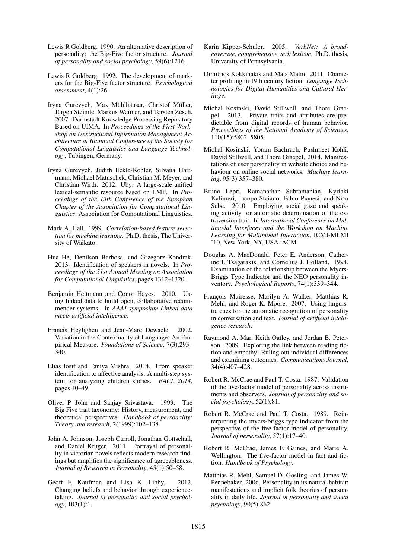- Lewis R Goldberg. 1990. An alternative description of personality: the Big-Five factor structure. *Journal of personality and social psychology*, 59(6):1216.
- Lewis R Goldberg. 1992. The development of markers for the Big-Five factor structure. *Psychological assessment*, 4(1):26.
- Iryna Gurevych, Max Mühlhäuser, Christof Müller, Jürgen Steimle, Markus Weimer, and Torsten Zesch. 2007. Darmstadt Knowledge Processing Repository Based on UIMA. In *Proceedings of the First Workshop on Unstructured Information Management Architecture at Biannual Conference of the Society for Computational Linguistics and Language Technology*, Tubingen, Germany. ¨
- Iryna Gurevych, Judith Eckle-Kohler, Silvana Hartmann, Michael Matuschek, Christian M. Meyer, and Christian Wirth. 2012. Uby: A large-scale unified lexical-semantic resource based on LMF. In *Proceedings of the 13th Conference of the European Chapter of the Association for Computational Linguistics*. Association for Computational Linguistics.
- Mark A. Hall. 1999. *Correlation-based feature selection for machine learning*. Ph.D. thesis, The University of Waikato.
- Hua He, Denilson Barbosa, and Grzegorz Kondrak. 2013. Identification of speakers in novels. In *Proceedings of the 51st Annual Meeting on Association for Computational Linguistics*, pages 1312–1320.
- Benjamin Heitmann and Conor Hayes. 2010. Using linked data to build open, collaborative recommender systems. In *AAAI symposium Linked data meets artificial intelligence*.
- Francis Heylighen and Jean-Marc Dewaele. 2002. Variation in the Contextuality of Language: An Empirical Measure. *Foundations of Science*, 7(3):293– 340.
- Elias Iosif and Taniya Mishra. 2014. From speaker identification to affective analysis: A multi-step system for analyzing children stories. *EACL 2014*, pages 40–49.
- Oliver P. John and Sanjay Srivastava. 1999. The Big Five trait taxonomy: History, measurement, and theoretical perspectives. *Handbook of personality: Theory and research*, 2(1999):102–138.
- John A. Johnson, Joseph Carroll, Jonathan Gottschall, and Daniel Kruger. 2011. Portrayal of personality in victorian novels reflects modern research findings but amplifies the significance of agreeableness. *Journal of Research in Personality*, 45(1):50–58.
- Geoff F. Kaufman and Lisa K. Libby. 2012. Changing beliefs and behavior through experiencetaking. *Journal of personality and social psychology*, 103(1):1.
- Karin Kipper-Schuler. 2005. *VerbNet: A broadcoverage, comprehensive verb lexicon.* Ph.D. thesis, University of Pennsylvania.
- Dimitrios Kokkinakis and Mats Malm. 2011. Character profiling in 19th century fiction. *Language Technologies for Digital Humanities and Cultural Heritage*.
- Michal Kosinski, David Stillwell, and Thore Graepel. 2013. Private traits and attributes are predictable from digital records of human behavior. *Proceedings of the National Academy of Sciences*, 110(15):5802–5805.
- Michal Kosinski, Yoram Bachrach, Pushmeet Kohli, David Stillwell, and Thore Graepel. 2014. Manifestations of user personality in website choice and behaviour on online social networks. *Machine learning*, 95(3):357–380.
- Bruno Lepri, Ramanathan Subramanian, Kyriaki Kalimeri, Jacopo Staiano, Fabio Pianesi, and Nicu Sebe. 2010. Employing social gaze and speaking activity for automatic determination of the extraversion trait. In *International Conference on Multimodal Interfaces and the Workshop on Machine Learning for Multimodal Interaction*, ICMI-MLMI '10, New York, NY, USA. ACM.
- Douglas A. MacDonald, Peter E. Anderson, Catherine I. Tsagarakis, and Cornelius J. Holland. 1994. Examination of the relationship between the Myers-Briggs Type Indicator and the NEO personality inventory. *Psychological Reports*, 74(1):339–344.
- François Mairesse, Marilyn A. Walker, Matthias R. Mehl, and Roger K. Moore. 2007. Using linguistic cues for the automatic recognition of personality in conversation and text. *Journal of artificial intelligence research*.
- Raymond A. Mar, Keith Oatley, and Jordan B. Peterson. 2009. Exploring the link between reading fiction and empathy: Ruling out individual differences and examining outcomes. *Communications Journal*, 34(4):407–428.
- Robert R. McCrae and Paul T. Costa. 1987. Validation of the five-factor model of personality across instruments and observers. *Journal of personality and social psychology*, 52(1):81.
- Robert R. McCrae and Paul T. Costa. 1989. Reinterpreting the myers-briggs type indicator from the perspective of the five-factor model of personality. *Journal of personality*, 57(1):17–40.
- Robert R. McCrae, James F. Gaines, and Marie A. Wellington. The five-factor model in fact and fiction. *Handbook of Psychology*.
- Matthias R. Mehl, Samuel D. Gosling, and James W. Pennebaker. 2006. Personality in its natural habitat: manifestations and implicit folk theories of personality in daily life. *Journal of personality and social psychology*, 90(5):862.